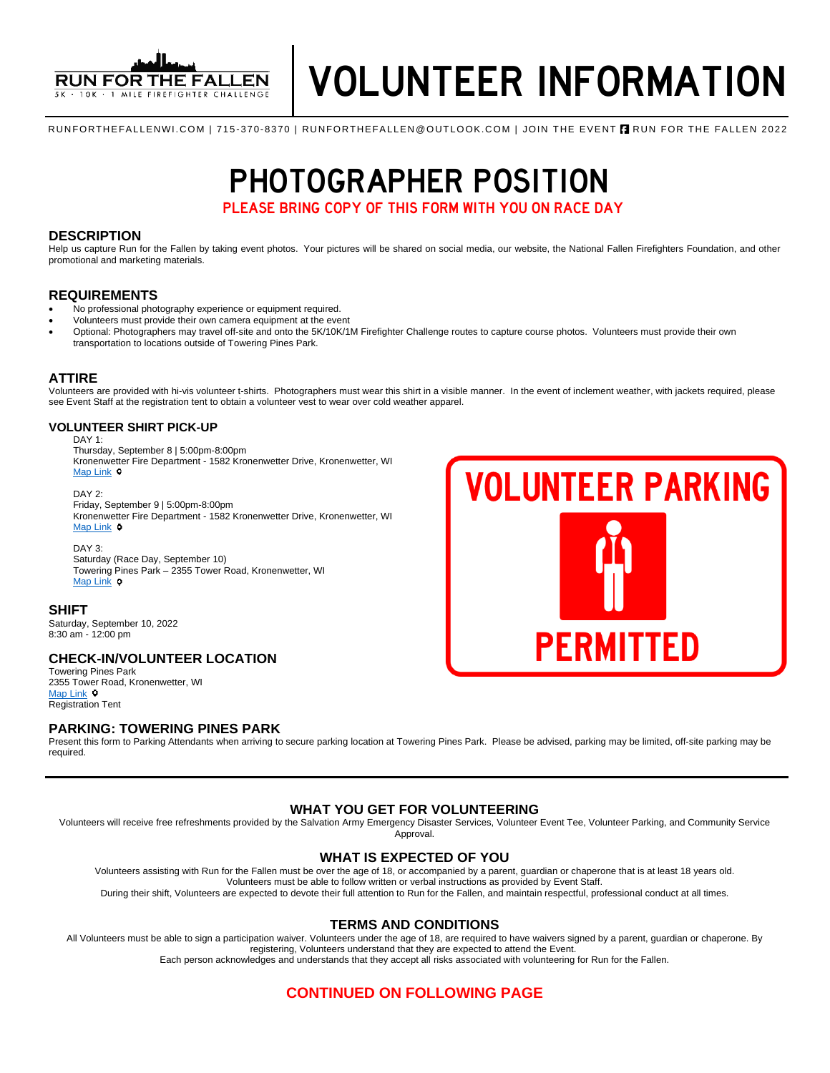

**VOLUNTEER PARKING** 

**PERMITTED** 

RUNFORTHEFALLENWI.COM | 715-370-8370 | RUNFORTHEFALLEN@OUTLOOK.COM | JOIN THE EVENT **A** RUN FOR THE FALLEN 2022

# **PHOTOGRAPHER POSITION**<br>PLEASE BRING COPY OF THIS FORM WITH YOU ON RACE DAY

PLEASE BRING COPY OF THIS FORM WITH YOU ON RACE DAY

#### **DESCRIPTION**

Help us capture Run for the Fallen by taking event photos. Your pictures will be shared on social media, our website, the National Fallen Firefighters Foundation, and other promotional and marketing materials.

#### **REQUIREMENTS**

- No professional photography experience or equipment required.
- Volunteers must provide their own camera equipment at the event
- Optional: Photographers may travel off-site and onto the 5K/10K/1M Firefighter Challenge routes to capture course photos. Volunteers must provide their own transportation to locations outside of Towering Pines Park.

#### **ATTIRE**

Volunteers are provided with hi-vis volunteer t-shirts. Photographers must wear this shirt in a visible manner. In the event of inclement weather, with jackets required, please see Event Staff at the registration tent to obtain a volunteer vest to wear over cold weather apparel.

#### **VOLUNTEER SHIRT PICK-UP**

DAY 1:

Thursday, September 8 | 5:00pm-8:00pm Kronenwetter Fire Department - 1582 Kronenwetter Drive, Kronenwetter, WI [Map Link](https://www.google.com/maps/place/Kronenwetter+Municipal+Center/@44.8248446,-89.660818,19.47z/data=!4m13!1m7!3m6!1s0x88003ce3aeb11027:0x20ef4eee6649e333!2s1582+I-39+Frontage+Rd,+Mosinee,+WI+54455!3b1!8m2!3d44.824627!4d-89.660117!3m4!1s0x88003ce24bdc74cf:0x8af0c32b7425fe48!8m2!3d44.8246764!4d-89.6603861)  $\circ$ 

DAY 2: Friday, September 9 | 5:00pm-8:00pm Kronenwetter Fire Department - 1582 Kronenwetter Drive, Kronenwetter, WI [Map Link](https://www.google.com/maps/place/Kronenwetter+Municipal+Center/@44.8248446,-89.660818,19.47z/data=!4m13!1m7!3m6!1s0x88003ce3aeb11027:0x20ef4eee6649e333!2s1582+I-39+Frontage+Rd,+Mosinee,+WI+54455!3b1!8m2!3d44.824627!4d-89.660117!3m4!1s0x88003ce24bdc74cf:0x8af0c32b7425fe48!8m2!3d44.8246764!4d-89.6603861)  $\circ$ 

#### DAY 3:

Saturday (Race Day, September 10) Towering Pines Park – 2355 Tower Road, Kronenwetter, WI [Map Link](https://www.google.com/maps/place/Towering+Pines+Park,+2355+Tower+Rd,+Kronenwetter,+WI+54455/@44.8528983,-89.6321363,17z/data=!3m1!4b1!4m5!3m4!1s0x880023538874f34f:0xd3c0bf75b1048a81!8m2!3d44.8531686!4d-89.6301666)  $\circ$ 

#### **SHIFT**

Saturday, September 10, 2022 8:30 am - 12:00 pm

#### **CHECK-IN/VOLUNTEER LOCATION**

Towering Pines Park 2355 Tower Road, Kronenwetter, WI [Map Link](https://www.google.com/maps/place/Towering+Pines+Park,+2355+Tower+Rd,+Kronenwetter,+WI+54455/@44.8528983,-89.6321363,17z/data=!3m1!4b1!4m5!3m4!1s0x880023538874f34f:0xd3c0bf75b1048a81!8m2!3d44.8531686!4d-89.6301666) <sup>o</sup> Registration Tent

#### **PARKING: TOWERING PINES PARK**

Present this form to Parking Attendants when arriving to secure parking location at Towering Pines Park. Please be advised, parking may be limited, off-site parking may be required.

#### **WHAT YOU GET FOR VOLUNTEERING**

Volunteers will receive free refreshments provided by the Salvation Army Emergency Disaster Services, Volunteer Event Tee, Volunteer Parking, and Community Service Approval.

#### **WHAT IS EXPECTED OF YOU**

Volunteers assisting with Run for the Fallen must be over the age of 18, or accompanied by a parent, guardian or chaperone that is at least 18 years old. Volunteers must be able to follow written or verbal instructions as provided by Event Staff.

During their shift, Volunteers are expected to devote their full attention to Run for the Fallen, and maintain respectful, professional conduct at all times.

#### **TERMS AND CONDITIONS**

All Volunteers must be able to sign a participation waiver. Volunteers under the age of 18, are required to have waivers signed by a parent, guardian or chaperone. By registering, Volunteers understand that they are expected to attend the Event. Each person acknowledges and understands that they accept all risks associated with volunteering for Run for the Fallen.

### **CONTINUED ON FOLLOWING PAGE**